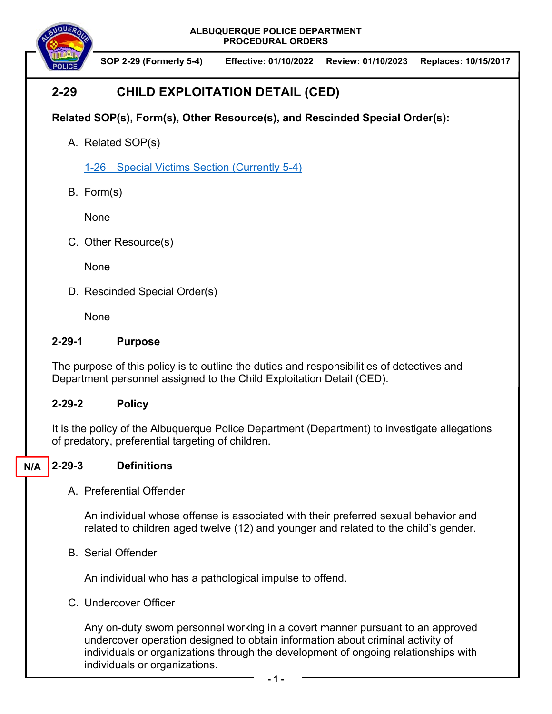**SOP 2-29 (Formerly 5-4) Effective: 01/10/2022 Review: 01/10/2023 Replaces: 10/15/2017** 

# **2-29 CHILD EXPLOITATION DETAIL (CED)**

# **Related SOP(s), Form(s), Other Resource(s), and Rescinded Special Order(s):**

A. Related SOP(s)

1-26 Special Victims Section (Currently 5-4)

B. Form(s)

None

C. Other Resource(s)

None

D. Rescinded Special Order(s)

None

### **2-29-1 Purpose**

The purpose of this policy is to outline the duties and responsibilities of detectives and Department personnel assigned to the Child Exploitation Detail (CED).

## **2-29-2 Policy**

It is the policy of the Albuquerque Police Department (Department) to investigate allegations of predatory, preferential targeting of children.

#### **2-29-3 Definitions N/A**

A. Preferential Offender

An individual whose offense is associated with their preferred sexual behavior and related to children aged twelve (12) and younger and related to the child's gender.

B. Serial Offender

An individual who has a pathological impulse to offend.

C. Undercover Officer

Any on-duty sworn personnel working in a covert manner pursuant to an approved undercover operation designed to obtain information about criminal activity of individuals or organizations through the development of ongoing relationships with individuals or organizations.